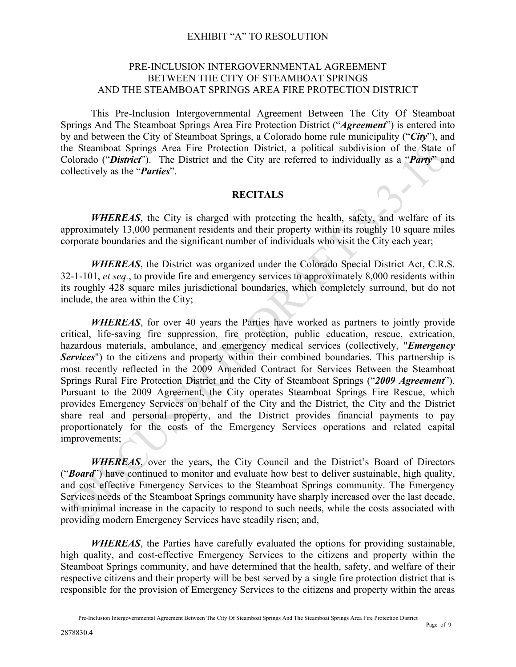#### PRE-INCLUSION INTERGOVERNMENTAL AGREEMENT BETWEEN THE CITY OF STEAMBOAT SPRINGS AND THE STEAMBOAT SPRINGS AREA FIRE PROTECTION DISTRICT

This Pre-Inclusion Intergovernmental Agreement Between The City Of Steamboat Springs And The Steamboat Springs Area Fire Protection District ("*Agreement*") is entered into by and between the City of Steamboat Springs, a Colorado home rule municipality ("*City*"), and the Steamboat Springs Area Fire Protection District, a political subdivision of the State of Colorado ("*District*"). The District and the City are referred to individually as a "*Party*" and collectively as the "*Parties*".

#### **RECITALS**

*WHEREAS*, the City is charged with protecting the health, safety, and welfare of its approximately 13,000 permanent residents and their property within its roughly 10 square miles corporate boundaries and the significant number of individuals who visit the City each year;

*WHEREAS*, the District was organized under the Colorado Special District Act, C.R.S. 32-1-101, *et seq.*, to provide fire and emergency services to approximately 8,000 residents within its roughly 428 square miles jurisdictional boundaries, which completely surround, but do not include, the area within the City;

*WHEREAS*, for over 40 years the Parties have worked as partners to jointly provide critical, life-saving fire suppression, fire protection, public education, rescue, extrication, hazardous materials, ambulance, and emergency medical services (collectively, "*Emergency Services*") to the citizens and property within their combined boundaries. This partnership is most recently reflected in the 2009 Amended Contract for Services Between the Steamboat Springs Rural Fire Protection District and the City of Steamboat Springs ("*2009 Agreement*"). Pursuant to the 2009 Agreement, the City operates Steamboat Springs Fire Rescue, which provides Emergency Services on behalf of the City and the District, the City and the District share real and personal property, and the District provides financial payments to pay proportionately for the costs of the Emergency Services operations and related capital improvements;

*WHEREAS*, over the years, the City Council and the District's Board of Directors ("*Board*") have continued to monitor and evaluate how best to deliver sustainable, high quality, and cost effective Emergency Services to the Steamboat Springs community. The Emergency Services needs of the Steamboat Springs community have sharply increased over the last decade, with minimal increase in the capacity to respond to such needs, while the costs associated with providing modern Emergency Services have steadily risen; and,

*WHEREAS*, the Parties have carefully evaluated the options for providing sustainable, high quality, and cost-effective Emergency Services to the citizens and property within the Steamboat Springs community, and have determined that the health, safety, and welfare of their respective citizens and their property will be best served by a single fire protection district that is responsible for the provision of Emergency Services to the citizens and property within the areas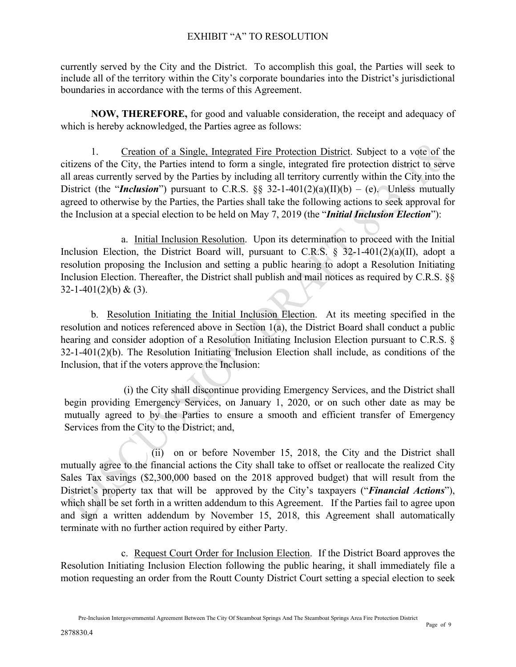currently served by the City and the District. To accomplish this goal, the Parties will seek to include all of the territory within the City's corporate boundaries into the District's jurisdictional boundaries in accordance with the terms of this Agreement.

**NOW, THEREFORE,** for good and valuable consideration, the receipt and adequacy of which is hereby acknowledged, the Parties agree as follows:

1. Creation of a Single, Integrated Fire Protection District. Subject to a vote of the citizens of the City, the Parties intend to form a single, integrated fire protection district to serve all areas currently served by the Parties by including all territory currently within the City into the District (the "*Inclusion*") pursuant to C.R.S.  $\S$  32-1-401(2)(a)(II)(b) – (e). Unless mutually agreed to otherwise by the Parties, the Parties shall take the following actions to seek approval for the Inclusion at a special election to be held on May 7, 2019 (the "*Initial Inclusion Election*"):

a. Initial Inclusion Resolution. Upon its determination to proceed with the Initial Inclusion Election, the District Board will, pursuant to C.R.S.  $\S$  32-1-401(2)(a)(II), adopt a resolution proposing the Inclusion and setting a public hearing to adopt a Resolution Initiating Inclusion Election. Thereafter, the District shall publish and mail notices as required by C.R.S. §§ 32-1-401(2)(b) & (3).

b. Resolution Initiating the Initial Inclusion Election. At its meeting specified in the resolution and notices referenced above in Section 1(a), the District Board shall conduct a public hearing and consider adoption of a Resolution Initiating Inclusion Election pursuant to C.R.S. § 32-1-401(2)(b). The Resolution Initiating Inclusion Election shall include, as conditions of the Inclusion, that if the voters approve the Inclusion:

 (i) the City shall discontinue providing Emergency Services, and the District shall begin providing Emergency Services, on January 1, 2020, or on such other date as may be mutually agreed to by the Parties to ensure a smooth and efficient transfer of Emergency Services from the City to the District; and,

(ii) on or before November 15, 2018, the City and the District shall mutually agree to the financial actions the City shall take to offset or reallocate the realized City Sales Tax savings (\$2,300,000 based on the 2018 approved budget) that will result from the District's property tax that will be approved by the City's taxpayers ("*Financial Actions*"), which shall be set forth in a written addendum to this Agreement. If the Parties fail to agree upon and sign a written addendum by November 15, 2018, this Agreement shall automatically terminate with no further action required by either Party.

c. Request Court Order for Inclusion Election. If the District Board approves the Resolution Initiating Inclusion Election following the public hearing, it shall immediately file a motion requesting an order from the Routt County District Court setting a special election to seek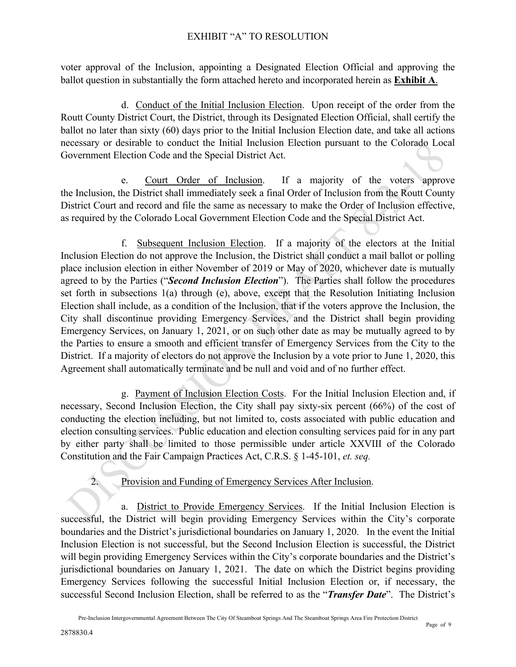voter approval of the Inclusion, appointing a Designated Election Official and approving the ballot question in substantially the form attached hereto and incorporated herein as **Exhibit A**.

d. Conduct of the Initial Inclusion Election. Upon receipt of the order from the Routt County District Court, the District, through its Designated Election Official, shall certify the ballot no later than sixty (60) days prior to the Initial Inclusion Election date, and take all actions necessary or desirable to conduct the Initial Inclusion Election pursuant to the Colorado Local Government Election Code and the Special District Act.

e. Court Order of Inclusion. If a majority of the voters approve the Inclusion, the District shall immediately seek a final Order of Inclusion from the Routt County District Court and record and file the same as necessary to make the Order of Inclusion effective, as required by the Colorado Local Government Election Code and the Special District Act.

f. Subsequent Inclusion Election. If a majority of the electors at the Initial Inclusion Election do not approve the Inclusion, the District shall conduct a mail ballot or polling place inclusion election in either November of 2019 or May of 2020, whichever date is mutually agreed to by the Parties ("*Second Inclusion Election*"). The Parties shall follow the procedures set forth in subsections 1(a) through (e), above, except that the Resolution Initiating Inclusion Election shall include, as a condition of the Inclusion, that if the voters approve the Inclusion, the City shall discontinue providing Emergency Services, and the District shall begin providing Emergency Services, on January 1, 2021, or on such other date as may be mutually agreed to by the Parties to ensure a smooth and efficient transfer of Emergency Services from the City to the District. If a majority of electors do not approve the Inclusion by a vote prior to June 1, 2020, this Agreement shall automatically terminate and be null and void and of no further effect.

g. Payment of Inclusion Election Costs. For the Initial Inclusion Election and, if necessary, Second Inclusion Election, the City shall pay sixty-six percent (66%) of the cost of conducting the election including, but not limited to, costs associated with public education and election consulting services. Public education and election consulting services paid for in any part by either party shall be limited to those permissible under article XXVIII of the Colorado Constitution and the Fair Campaign Practices Act, C.R.S. § 1-45-101, *et. seq.*

2. Provision and Funding of Emergency Services After Inclusion.

a. District to Provide Emergency Services. If the Initial Inclusion Election is successful, the District will begin providing Emergency Services within the City's corporate boundaries and the District's jurisdictional boundaries on January 1, 2020. In the event the Initial Inclusion Election is not successful, but the Second Inclusion Election is successful, the District will begin providing Emergency Services within the City's corporate boundaries and the District's jurisdictional boundaries on January 1, 2021. The date on which the District begins providing Emergency Services following the successful Initial Inclusion Election or, if necessary, the successful Second Inclusion Election, shall be referred to as the "*Transfer Date*". The District's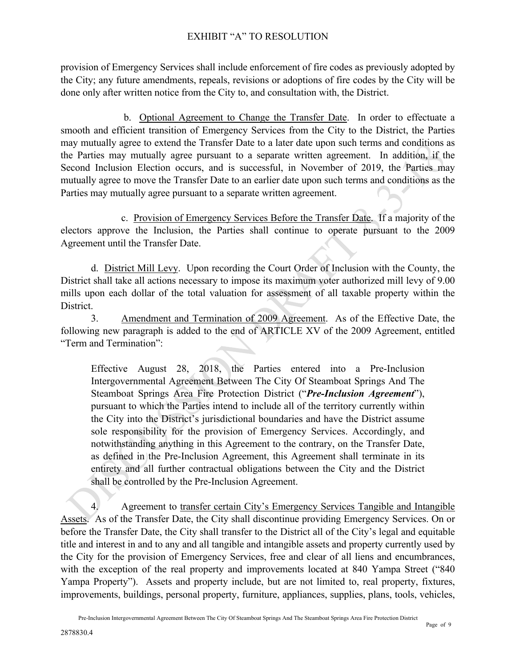provision of Emergency Services shall include enforcement of fire codes as previously adopted by the City; any future amendments, repeals, revisions or adoptions of fire codes by the City will be done only after written notice from the City to, and consultation with, the District.

 b. Optional Agreement to Change the Transfer Date. In order to effectuate a smooth and efficient transition of Emergency Services from the City to the District, the Parties may mutually agree to extend the Transfer Date to a later date upon such terms and conditions as the Parties may mutually agree pursuant to a separate written agreement. In addition, if the Second Inclusion Election occurs, and is successful, in November of 2019, the Parties may mutually agree to move the Transfer Date to an earlier date upon such terms and conditions as the Parties may mutually agree pursuant to a separate written agreement.

c. Provision of Emergency Services Before the Transfer Date. If a majority of the electors approve the Inclusion, the Parties shall continue to operate pursuant to the 2009 Agreement until the Transfer Date.

d. District Mill Levy. Upon recording the Court Order of Inclusion with the County, the District shall take all actions necessary to impose its maximum voter authorized mill levy of 9.00 mills upon each dollar of the total valuation for assessment of all taxable property within the District.

3. Amendment and Termination of 2009 Agreement. As of the Effective Date, the following new paragraph is added to the end of ARTICLE XV of the 2009 Agreement, entitled "Term and Termination":

Effective August 28, 2018, the Parties entered into a Pre-Inclusion Intergovernmental Agreement Between The City Of Steamboat Springs And The Steamboat Springs Area Fire Protection District ("*Pre-Inclusion Agreement*"), pursuant to which the Parties intend to include all of the territory currently within the City into the District's jurisdictional boundaries and have the District assume sole responsibility for the provision of Emergency Services. Accordingly, and notwithstanding anything in this Agreement to the contrary, on the Transfer Date, as defined in the Pre-Inclusion Agreement, this Agreement shall terminate in its entirety and all further contractual obligations between the City and the District shall be controlled by the Pre-Inclusion Agreement.

4. Agreement to transfer certain City's Emergency Services Tangible and Intangible Assets. As of the Transfer Date, the City shall discontinue providing Emergency Services. On or before the Transfer Date, the City shall transfer to the District all of the City's legal and equitable title and interest in and to any and all tangible and intangible assets and property currently used by the City for the provision of Emergency Services, free and clear of all liens and encumbrances, with the exception of the real property and improvements located at 840 Yampa Street ("840") Yampa Property"). Assets and property include, but are not limited to, real property, fixtures, improvements, buildings, personal property, furniture, appliances, supplies, plans, tools, vehicles,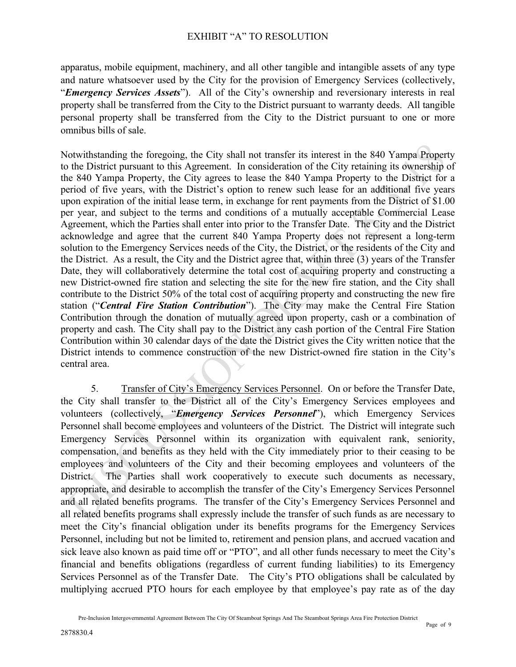apparatus, mobile equipment, machinery, and all other tangible and intangible assets of any type and nature whatsoever used by the City for the provision of Emergency Services (collectively, "*Emergency Services Assets*"). All of the City's ownership and reversionary interests in real property shall be transferred from the City to the District pursuant to warranty deeds. All tangible personal property shall be transferred from the City to the District pursuant to one or more omnibus bills of sale.

Notwithstanding the foregoing, the City shall not transfer its interest in the 840 Yampa Property to the District pursuant to this Agreement. In consideration of the City retaining its ownership of the 840 Yampa Property, the City agrees to lease the 840 Yampa Property to the District for a period of five years, with the District's option to renew such lease for an additional five years upon expiration of the initial lease term, in exchange for rent payments from the District of \$1.00 per year, and subject to the terms and conditions of a mutually acceptable Commercial Lease Agreement, which the Parties shall enter into prior to the Transfer Date. The City and the District acknowledge and agree that the current 840 Yampa Property does not represent a long-term solution to the Emergency Services needs of the City, the District, or the residents of the City and the District. As a result, the City and the District agree that, within three (3) years of the Transfer Date, they will collaboratively determine the total cost of acquiring property and constructing a new District-owned fire station and selecting the site for the new fire station, and the City shall contribute to the District 50% of the total cost of acquiring property and constructing the new fire station ("*Central Fire Station Contribution*"). The City may make the Central Fire Station Contribution through the donation of mutually agreed upon property, cash or a combination of property and cash. The City shall pay to the District any cash portion of the Central Fire Station Contribution within 30 calendar days of the date the District gives the City written notice that the District intends to commence construction of the new District-owned fire station in the City's central area.

5. Transfer of City's Emergency Services Personnel. On or before the Transfer Date, the City shall transfer to the District all of the City's Emergency Services employees and volunteers (collectively, "*Emergency Services Personnel*"), which Emergency Services Personnel shall become employees and volunteers of the District. The District will integrate such Emergency Services Personnel within its organization with equivalent rank, seniority, compensation, and benefits as they held with the City immediately prior to their ceasing to be employees and volunteers of the City and their becoming employees and volunteers of the District. The Parties shall work cooperatively to execute such documents as necessary, appropriate, and desirable to accomplish the transfer of the City's Emergency Services Personnel and all related benefits programs. The transfer of the City's Emergency Services Personnel and all related benefits programs shall expressly include the transfer of such funds as are necessary to meet the City's financial obligation under its benefits programs for the Emergency Services Personnel, including but not be limited to, retirement and pension plans, and accrued vacation and sick leave also known as paid time off or "PTO", and all other funds necessary to meet the City's financial and benefits obligations (regardless of current funding liabilities) to its Emergency Services Personnel as of the Transfer Date. The City's PTO obligations shall be calculated by multiplying accrued PTO hours for each employee by that employee's pay rate as of the day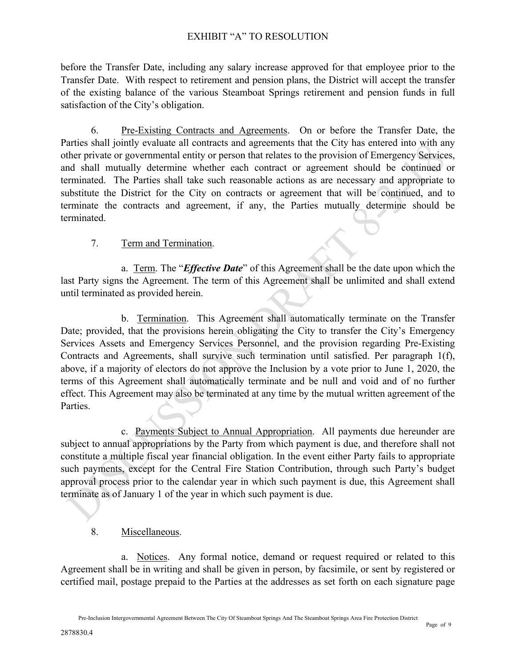before the Transfer Date, including any salary increase approved for that employee prior to the Transfer Date. With respect to retirement and pension plans, the District will accept the transfer of the existing balance of the various Steamboat Springs retirement and pension funds in full satisfaction of the City's obligation.

6. Pre-Existing Contracts and Agreements. On or before the Transfer Date, the Parties shall jointly evaluate all contracts and agreements that the City has entered into with any other private or governmental entity or person that relates to the provision of Emergency Services, and shall mutually determine whether each contract or agreement should be continued or terminated. The Parties shall take such reasonable actions as are necessary and appropriate to substitute the District for the City on contracts or agreement that will be continued, and to terminate the contracts and agreement, if any, the Parties mutually determine should be terminated.

## 7. Term and Termination.

a. Term. The "*Effective Date*" of this Agreement shall be the date upon which the last Party signs the Agreement. The term of this Agreement shall be unlimited and shall extend until terminated as provided herein.

b. Termination. This Agreement shall automatically terminate on the Transfer Date; provided, that the provisions herein obligating the City to transfer the City's Emergency Services Assets and Emergency Services Personnel, and the provision regarding Pre-Existing Contracts and Agreements, shall survive such termination until satisfied. Per paragraph 1(f), above, if a majority of electors do not approve the Inclusion by a vote prior to June 1, 2020, the terms of this Agreement shall automatically terminate and be null and void and of no further effect. This Agreement may also be terminated at any time by the mutual written agreement of the Parties.

c. Payments Subject to Annual Appropriation. All payments due hereunder are subject to annual appropriations by the Party from which payment is due, and therefore shall not constitute a multiple fiscal year financial obligation. In the event either Party fails to appropriate such payments, except for the Central Fire Station Contribution, through such Party's budget approval process prior to the calendar year in which such payment is due, this Agreement shall terminate as of January 1 of the year in which such payment is due.

#### 8. Miscellaneous.

a. Notices. Any formal notice, demand or request required or related to this Agreement shall be in writing and shall be given in person, by facsimile, or sent by registered or certified mail, postage prepaid to the Parties at the addresses as set forth on each signature page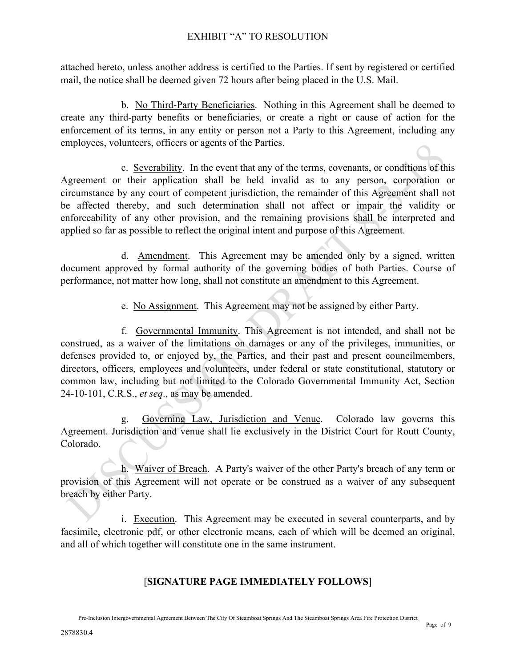attached hereto, unless another address is certified to the Parties. If sent by registered or certified mail, the notice shall be deemed given 72 hours after being placed in the U.S. Mail.

b. No Third-Party Beneficiaries. Nothing in this Agreement shall be deemed to create any third-party benefits or beneficiaries, or create a right or cause of action for the enforcement of its terms, in any entity or person not a Party to this Agreement, including any employees, volunteers, officers or agents of the Parties.

c. Severability. In the event that any of the terms, covenants, or conditions of this Agreement or their application shall be held invalid as to any person, corporation or circumstance by any court of competent jurisdiction, the remainder of this Agreement shall not be affected thereby, and such determination shall not affect or impair the validity or enforceability of any other provision, and the remaining provisions shall be interpreted and applied so far as possible to reflect the original intent and purpose of this Agreement.

d. Amendment. This Agreement may be amended only by a signed, written document approved by formal authority of the governing bodies of both Parties. Course of performance, not matter how long, shall not constitute an amendment to this Agreement.

e. No Assignment. This Agreement may not be assigned by either Party.

f. Governmental Immunity. This Agreement is not intended, and shall not be construed, as a waiver of the limitations on damages or any of the privileges, immunities, or defenses provided to, or enjoyed by, the Parties, and their past and present councilmembers, directors, officers, employees and volunteers, under federal or state constitutional, statutory or common law, including but not limited to the Colorado Governmental Immunity Act, Section 24-10-101, C.R.S., *et seq*., as may be amended.

g. Governing Law, Jurisdiction and Venue. Colorado law governs this Agreement. Jurisdiction and venue shall lie exclusively in the District Court for Routt County, Colorado.

h. Waiver of Breach. A Party's waiver of the other Party's breach of any term or provision of this Agreement will not operate or be construed as a waiver of any subsequent breach by either Party.

i. Execution. This Agreement may be executed in several counterparts, and by facsimile, electronic pdf, or other electronic means, each of which will be deemed an original, and all of which together will constitute one in the same instrument.

# [**SIGNATURE PAGE IMMEDIATELY FOLLOWS**]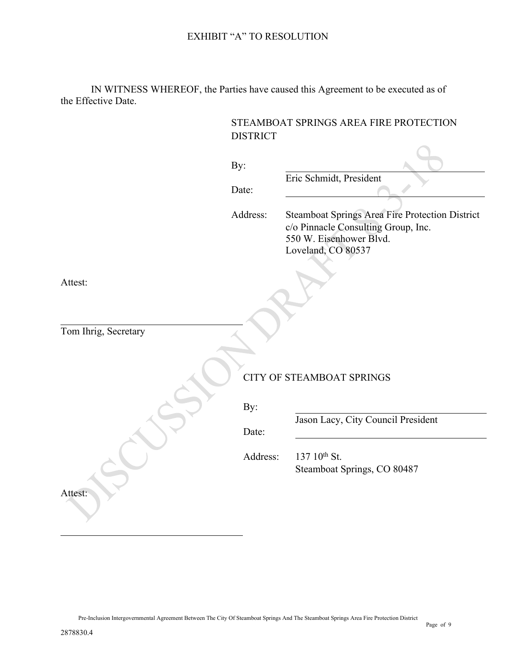IN WITNESS WHEREOF, the Parties have caused this Agreement to be executed as of the Effective Date.

|                      | STEAMBOAT SPRINGS AREA FIRE PROTECTION<br><b>DISTRICT</b> |                                                                                                                                         |
|----------------------|-----------------------------------------------------------|-----------------------------------------------------------------------------------------------------------------------------------------|
|                      |                                                           |                                                                                                                                         |
|                      | By:                                                       |                                                                                                                                         |
|                      |                                                           | Eric Schmidt, President                                                                                                                 |
|                      | Date:                                                     |                                                                                                                                         |
|                      | Address:                                                  | Steamboat Springs Area Fire Protection District<br>c/o Pinnacle Consulting Group, Inc.<br>550 W. Eisenhower Blvd.<br>Loveland, CO 80537 |
| Attest:              |                                                           |                                                                                                                                         |
|                      |                                                           |                                                                                                                                         |
| Tom Ihrig, Secretary |                                                           |                                                                                                                                         |
|                      |                                                           |                                                                                                                                         |
|                      |                                                           |                                                                                                                                         |
|                      | <b>CITY OF STEAMBOAT SPRINGS</b>                          |                                                                                                                                         |
|                      | By:                                                       |                                                                                                                                         |
|                      |                                                           | Jason Lacy, City Council President                                                                                                      |
|                      | Date:                                                     |                                                                                                                                         |
|                      | Address:                                                  | 137 10th St.                                                                                                                            |
|                      |                                                           | Steamboat Springs, CO 80487                                                                                                             |
| Attest:              |                                                           |                                                                                                                                         |
|                      |                                                           |                                                                                                                                         |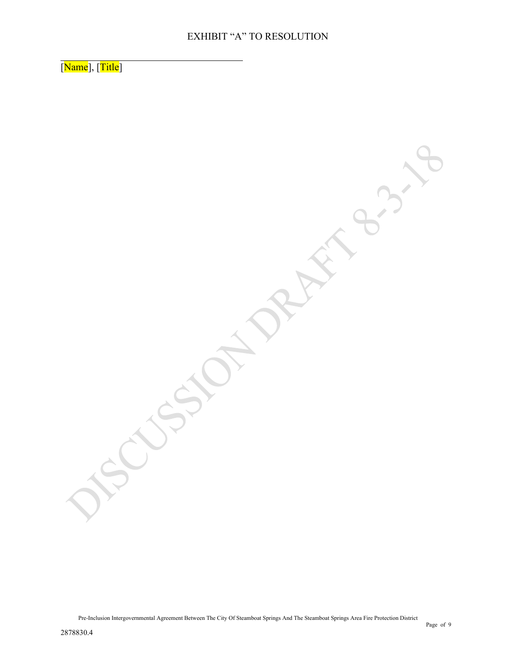[Name], [Title]

Pre-Inclusion Intergovernmental Agreement Between The City Of Steamboat Springs And The Steamboat Springs Area Fire Protection District